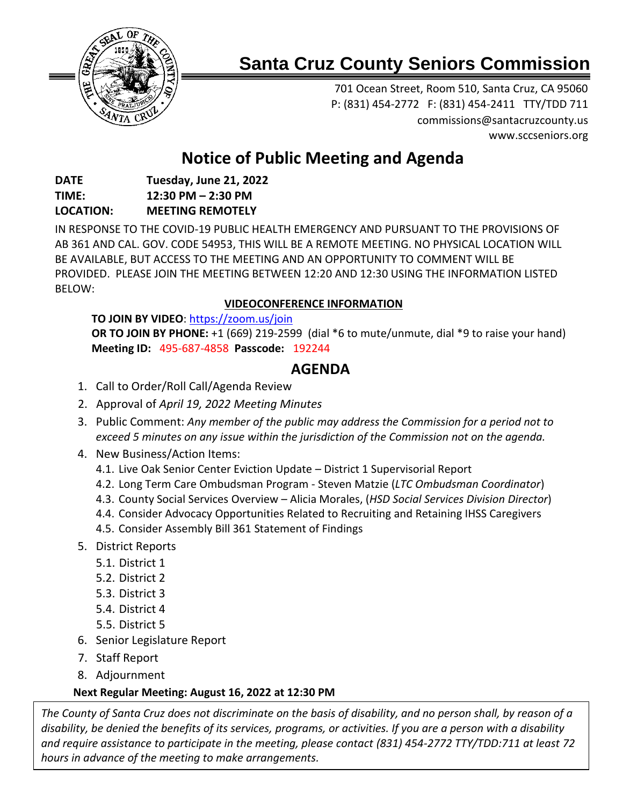

# **Santa Cruz County Seniors Commission**

701 Ocean Street, Room 510, Santa Cruz, CA 95060 P: (831) 454-2772 F: (831) 454-2411 TTY/TDD 711 [commissions@santacruzcounty.us](mailto:commissions@santacruzcounty.us) www.sccseniors.org

## **Notice of Public Meeting and Agenda**

#### **DATE Tuesday, June 21, 2022 TIME: 12:30 PM – 2:30 PM LOCATION: MEETING REMOTELY**

IN RESPONSE TO THE COVID-19 PUBLIC HEALTH EMERGENCY AND PURSUANT TO THE PROVISIONS OF AB 361 AND CAL. GOV. CODE 54953, THIS WILL BE A REMOTE MEETING. NO PHYSICAL LOCATION WILL BE AVAILABLE, BUT ACCESS TO THE MEETING AND AN OPPORTUNITY TO COMMENT WILL BE PROVIDED. PLEASE JOIN THE MEETING BETWEEN 12:20 AND 12:30 USING THE INFORMATION LISTED BELOW:

## **VIDEOCONFERENCE INFORMATION**

**TO JOIN BY VIDEO**:<https://zoom.us/join> **OR TO JOIN BY PHONE:** +1 (669) 219-2599 (dial \*6 to mute/unmute, dial \*9 to raise your hand) **Meeting ID:** 495-687-4858 **Passcode:** 192244

## **AGENDA**

- 1. Call to Order/Roll Call/Agenda Review
- 2. Approval of *April 19, 2022 Meeting Minutes*
- 3. Public Comment: *Any member of the public may address the Commission for a period not to exceed 5 minutes on any issue within the jurisdiction of the Commission not on the agenda.*
- 4. New Business/Action Items:
	- 4.1. Live Oak Senior Center Eviction Update District 1 Supervisorial Report
	- 4.2. Long Term Care Ombudsman Program Steven Matzie (*LTC Ombudsman Coordinator*)
	- 4.3. County Social Services Overview Alicia Morales, (*HSD Social Services Division Director*)
	- 4.4. Consider Advocacy Opportunities Related to Recruiting and Retaining IHSS Caregivers
	- 4.5. Consider Assembly Bill 361 Statement of Findings
- 5. District Reports
	- 5.1. District 1
	- 5.2. District 2
	- 5.3. District 3
	- 5.4. District 4
	- 5.5. District 5
- 6. Senior Legislature Report
- 7. Staff Report
- 8. Adjournment

## **Next Regular Meeting: August 16, 2022 at 12:30 PM**

*The County of Santa Cruz does not discriminate on the basis of disability, and no person shall, by reason of a disability, be denied the benefits of its services, programs, or activities. If you are a person with a disability and require assistance to participate in the meeting, please contact (831) 454-2772 TTY/TDD:711 at least 72 hours in advance of the meeting to make arrangements.*